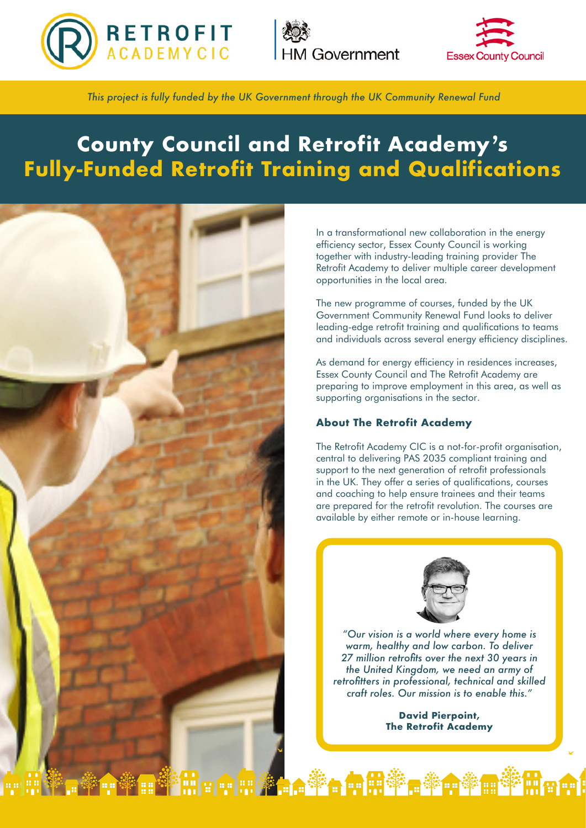





*This project is fully funded by the UK Government through the UK Community Renewal Fund*

# **County Council and Retrofit Academy's Fully-Funded Retrofit Training and Qualifications**



In a transformational new collaboration in the energy efficiency sector, Essex County Council is working together with industry-leading training provider The Retrofit Academy to deliver multiple career development opportunities in the local area.

The new programme of courses, funded by the UK Government Community Renewal Fund looks to deliver leading-edge retrofit training and qualifications to teams and individuals across several energy efficiency disciplines.

As demand for energy efficiency in residences increases, Essex County Council and The Retrofit Academy are preparing to improve employment in this area, as well as supporting organisations in the sector.

## **About The Retrofit Academy**

The Retrofit Academy CIC is a not-for-profit organisation, central to delivering PAS 2035 compliant training and support to the next generation of retrofit professionals in the UK. They offer a series of qualifications, courses and coaching to help ensure trainees and their teams are prepared for the retrofit revolution. The courses are available by either remote or in-house learning.



*"Our vision is a world where every home is warm, healthy and low carbon. To deliver 27 million retrofits over the next 30 years in the United Kingdom, we need an army of retrofitters in professional, technical and skilled craft roles. Our mission is to enable this."*

> **David Pierpoint, The Retrofit Academy**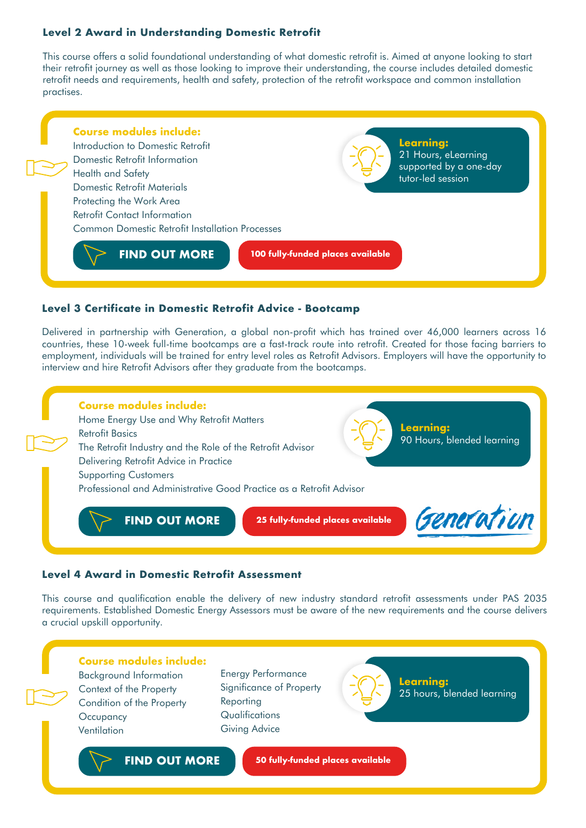# **Level 2 Award in Understanding Domestic Retrofit**

This course offers a solid foundational understanding of what domestic retrofit is. Aimed at anyone looking to start their retrofit journey as well as those looking to improve their understanding, the course includes detailed domestic retrofit needs and requirements, health and safety, protection of the retrofit workspace and common installation practises.



### **Level 3 Certificate in Domestic Retrofit Advice - Bootcamp**

Delivered in partnership with Generation, a global non-profit which has trained over 46,000 learners across 16 countries, these 10-week full-time bootcamps are a fast-track route into retrofit. Created for those facing barriers to employment, individuals will be trained for entry level roles as Retrofit Advisors. Employers will have the opportunity to interview and hire Retrofit Advisors after they graduate from the bootcamps.



## **Level 4 Award in Domestic Retrofit Assessment**

This course and qualification enable the delivery of new industry standard retrofit assessments under PAS 2035 requirements. Established Domestic Energy Assessors must be aware of the new requirements and the course delivers a crucial upskill opportunity.

# **Course modules include:** Background Information Context of the Property Condition of the Property **Occupancy**

**Ventilation** 

Energy Performance Significance of Property Reporting **Qualifications** Giving Advice



**Learning:** 25 hours, blended learning

**[FIND OUT MORE](https://f3pptrug9qp.typeform.com/to/DzfQZGdM)**

**50 fully-funded places available**